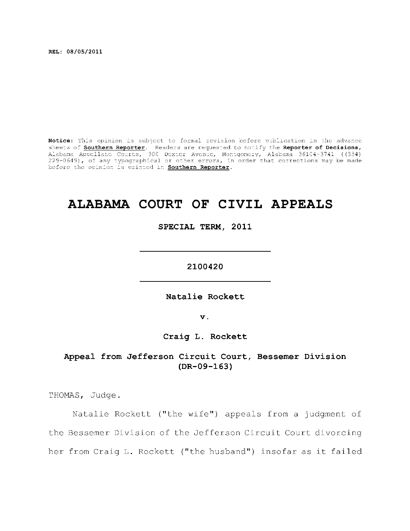**REL: 08/05/2011** 

Notice: This opinion is subject to formal revision before publication in the advance sheets of **Southern Reporter**. Readers are requested to notify the Reporter of Decisions, Alabama Appellat e Courts , 300 Dexte r Avenue, Montgomery, Alabama 36104-3741 ((334) 229-0649), of any typographical or other errors, in order that corrections may be made before the opinion is printed in **Southern Reporter**.

# **ALABAMA COURT OF CIVIL APPEALS**

**SPECIAL TERM, 2011** 

**2100420** 

**Natali e Rockett** 

**v.** 

**Craig L. Rockett** 

Appeal from Jefferson Circuit Court, Bessemer Division **(DR-09-163)** 

THOMAS, Judge.

Natalie Rockett ("the wife") appeals from a judgment of the Bessemer Division of the Jefferson Circuit Court divorcing her from Craig L. Rockett ("the husband") insofar as it failed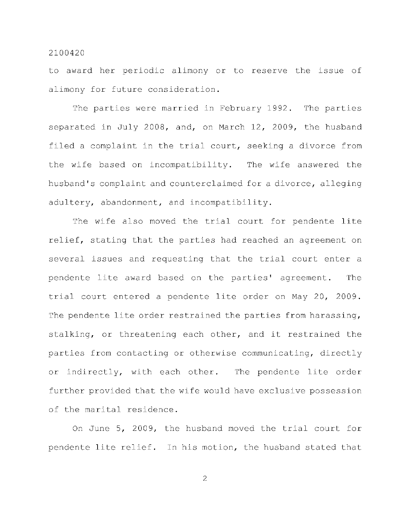to award her periodic alimony or to reserve the issue of alimony for future consideration.

The parties were married in February 1992. The parties separated in July 2008, and, on March 12, 2009, the husband filed a complaint in the trial court, seeking a divorce from the wife based on incompatibility. The wife answered the husband's complaint and counterclaimed for a divorce, alleging adultery, abandonment, and incompatibility.

The wife also moved the trial court for pendente lite relief, stating that the parties had reached an agreement on several issues and requesting that the trial court enter a pendente lite award based on the parties' agreement. The trial court entered a pendente lite order on May 20, 2009. The pendente lite order restrained the parties from harassing, stalking, or threatening each other, and it restrained the parties from contacting or otherwise communicating, directly or indirectly, with each other. The pendente lite order further provided that the wife would have exclusive possession of the marital residence.

On June 5, 2009, the husband moved the trial court for pendente lite relief. In his motion, the husband stated that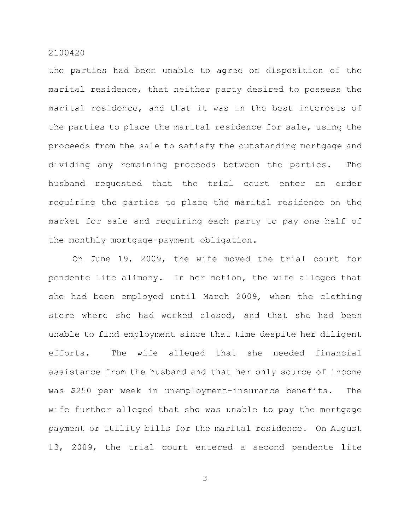the parties had been unable to agree on disposition of the marital residence, that neither party desired to possess the marital residence, and that it was in the best interests of the parties to place the marital residence for sale, using the proceeds from the sale to satisfy the outstanding mortgage and dividing any remaining proceeds between the parties. The husband requested that the trial court enter an order requiring the parties to place the marital residence on the market for sale and requiring each party to pay one-half of the monthly mortgage-payment obligation.

On June 19, 2009, the wife moved the trial court for pendente lite alimony. In her motion, the wife alleged that she had been employed until March 2009, when the clothing store where she had worked closed, and that she had been unable to find employment since that time despite her diligent efforts. The wife alleged that she needed financial assistance from the husband and that her only source of income was \$250 per week in unemployment-insurance benefits. The wife further alleged that she was unable to pay the mortgage payment or utility bills for the marital residence. On August 13, 2009, the trial court entered a second pendente lite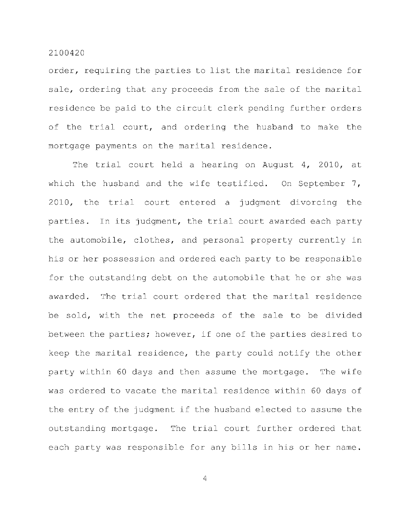order, requiring the parties to list the marital residence for sale, ordering that any proceeds from the sale of the marital residence be paid to the circuit clerk pending further orders of the trial court, and ordering the husband to make the mortgage payments on the marital residence.

The trial court held a hearing on August  $4$ , 2010, at which the husband and the wife testified. On September 7,  $2010$ , the trial court entered a judgment divorcing the parties. In its judgment, the trial court awarded each party the automobile, clothes, and personal property currently in his or her possession and ordered each party to be responsible for the outstanding debt on the automobile that he or she was awarded. The trial court ordered that the marital residence be sold, with the net proceeds of the sale to be divided between the parties; however, if one of the parties desired to keep the marital residence, the party could notify the other party within 60 days and then assume the mortgage. The wife was ordered to vacate the marital residence within 60 days of the entry of the judgment if the husband elected to assume the outstanding mortgage. The trial court further ordered that each party was responsible for any bills in his or her name.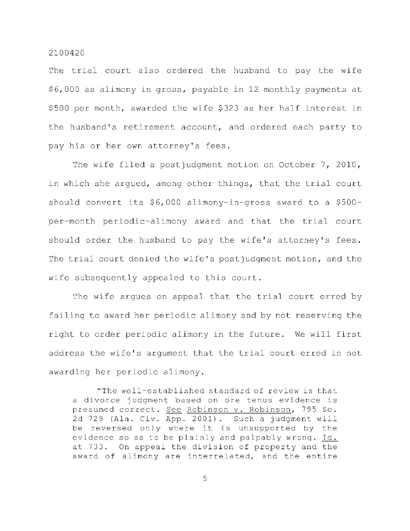The trial court also ordered the husband to pay the wife \$6,000 as alimony in gross, payable in 12 monthly payments at \$500 per month, awarded the wife \$323 as her half interest in the husband's retirement account, and ordered each party to pay his or her own attorney's fees.

The wife filed a postjudgment motion on October 7, 2010, in which she argued, among other things, that the trial court should convert its  $$6,000$  alimony-in-gross award to a  $$500$ per-month periodic-alimony award and that the trial court should order the husband to pay the wife's attorney's fees. The trial court denied the wife's postjudgment motion, and the wife subsequently appealed to this court.

The wife argues on appeal that the trial court erred by failing to award her periodic alimony and by not reserving the right to order periodic alimony in the future. We will first address the wife's argument that the trial court erred in not awarding her periodic alimony.

"The well-established standard of review is that a divorce judgment based on ore tenus evidence is presumed correct. See Robinson v. Robinson, 795 So. 2d 729 (Ala. Civ. App. 2001). Such a judgment will be reversed only where it is unsupported by the evidence so as to be plainly and palpably wrong. Id. at 733. On appeal the division of property and the award of alimony are interrelated, and the entire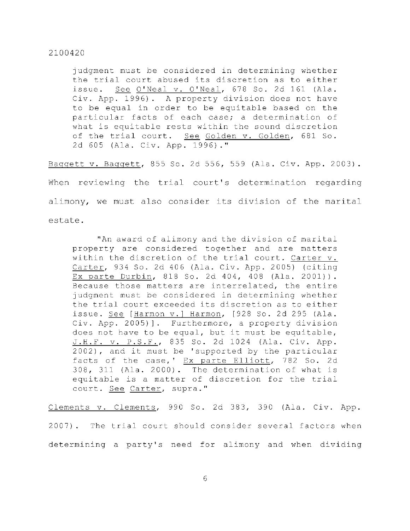judgment must be considered in determining whether the trial court abused its discretion as to either issue. See O'Neal v. O'Neal, 678 So. 2d 161 (Ala. Civ. App. 1996). A property division does not have to be equal in order to be equitable based on the particular facts of each case; a determination of what is equitable rests within the sound discretion of the trial court. See Golden v. Golden, 681 So. 2d 605 (Ala. Civ. App. 1996)."

Baggett v. Baggett, 855 So. 2d 556, 559 (Ala. Civ. App. 2003). When reviewing the trial court's determination regarding alimony, we must also consider its division of the marital

estate .

"An award of alimony and the division of marital property are considered together and are matters within the discretion of the trial court. Carter v. Carter, 934 So. 2d 406 (Ala. Civ. App. 2005) (citing Ex parte Durbin, 818 So. 2d 404, 408 (Ala. 2001)). Because those matters are interrelated, the entire judgment must be considered in determining whether the trial court exceeded its discretion as to either issue. See [Harmon v.] Harmon, [928 So. 2d 295 (Ala. Civ. App. 2005)]. Furthermore, a property division does not have to be equal, but it must be equitable, J.H.F. v. P.S.F., 835 So. 2d 1024 (Ala. Civ. App.  $2002$ ), and it must be 'supported by the particular facts of the case,' Ex parte Elliott, 782 So. 2d  $308$ ,  $311$  (Ala. 2000). The determination of what is equitable is a matter of discretion for the trial court. See Carter, supra."

Clements v. Clements, 990 So. 2d 383, 390 (Ala. Civ. App. 2007). The trial court should consider several factors when determining a party's need for alimony and when dividing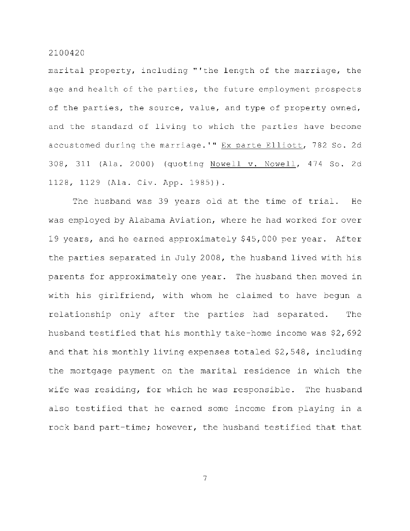marital property, including "'the length of the marriage, the age and health of the parties, the future employment prospects of the parties, the source, value, and type of property owned, and the standard of living to which the parties have become accustomed during the marriage.'" Ex parte Elliott, 782 So. 2d 308, 311 (Ala. 2000) (quoting Nowell v. Nowell, 474 So. 2d 1128, 1129 (Ala. Civ. App. 1985)).

The husband was 39 years old at the time of trial. He was employed by Alabama Aviation, where he had worked for over 19 years, and he earned approximately \$45,000 per year. After the parties separated in July 2008, the husband lived with his parents for approximately one year. The husband then moved in with his girlfriend, with whom he claimed to have begun a relationship only after the parties had separated. The husband testified that his monthly take-home income was  $$2,692$ and that his monthly living expenses totaled  $$2,548$ , including the mortgage payment on the marital residence in which the wife was residing, for which he was responsible. The husband also testified that he earned some income from playing in a rock band part-time; however, the husband testified that that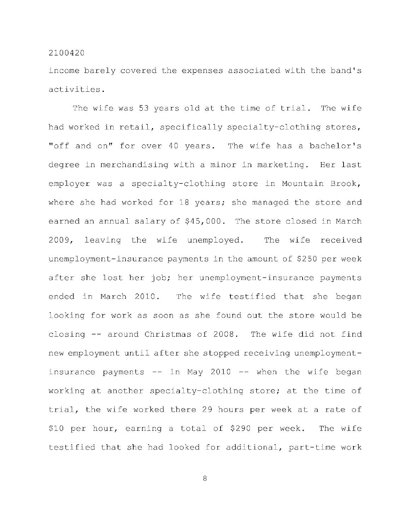income barely covered the expenses associated with the band's activities .

The wife was 53 years old at the time of trial. The wife had worked in retail, specifically specialty-clothing stores, "off and on" for over 40 years. The wife has a bachelor's degree in merchandising with a minor in marketing. Her last employer was a specialty-clothing store in Mountain Brook, where she had worked for 18 years; she managed the store and earned an annual salary of \$45,000. The store closed in March 2009, leaving the wife unemployed. The wife received unemployment-insurance payments in the amount of \$250 per week after she lost her job; her unemployment-insurance payments ended in March 2010. The wife testified that she began looking for work as soon as she found out the store would be closing  $-$  around Christmas of 2008. The wife did not find new employment until after she stopped receiving unemploymentinsurance payments  $--$  in May 2010  $--$  when the wife began working at another specialty-clothing store; at the time of trial, the wife worked there 29 hours per week at a rate of \$10 per hour, earning a total of \$290 per week. The wife testified that she had looked for additional, part-time work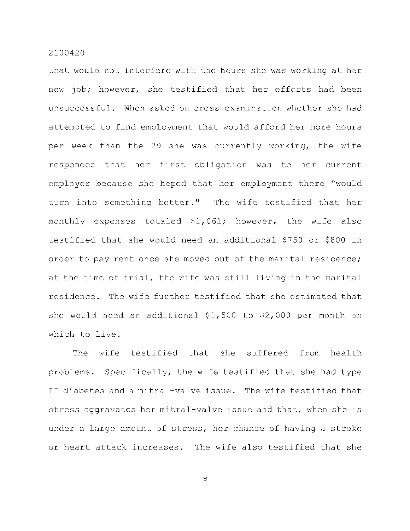that would not interfere with the hours she was working at her new job; however, she testified that her efforts had been unsuccessful. When asked on cross-examination whether she had attempted to find employment that would afford her more hours per week than the 29 she was currently working, the wife responded that her first obligation was to her current employer because she hoped that her employment there "would turn into something better." The wife testified that her monthly expenses totaled \$1,061; however, the wife also testified that she would need an additional \$750 or \$800 in order to pay rent once she moved out of the marital residence; at the time of trial, the wife was still living in the marital residence. The wife further testified that she estimated that she would need an additional  $$1,500$  to  $$2,000$  per month on which to live.

The wife testified that she suffered from health problems. Specifically, the wife testified that she had type II diabetes and a mitral-valve issue. The wife testified that stress aggravates her mitral-valve issue and that, when she is under a large amount of stress, her chance of having a stroke or heart attack increases. The wife also testified that she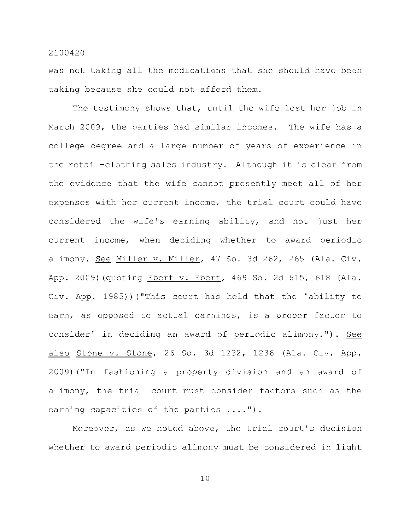was not taking all the medications that she should have been taking because she could not afford them.

The testimony shows that, until the wife lost her job in March 2009, the parties had similar incomes. The wife has a college degree and a large number of years of experience in the retail-clothing sales industry. Although it is clear from the evidence that the wife cannot presently meet all of her expenses with her current income, the trial court could have considered the wife's earning ability, and not just her current income, when deciding whether to award periodic alimony. See Miller v. Miller, 47 So. 3d 262, 265 (Ala. Civ. App. 2009)(quoting Ebert v. Ebert, 469 So. 2d 615, 618 (Ala. Civ. App. 1985))("This court has held that the 'ability to earn, as opposed to actual earnings, is a proper factor to consider' in deciding an award of periodic alimony."). See also Stone v. Stone, 26 So. 3d 1232, 1236 (Ala. Civ. App. 2009) ("In fashioning a property division and an award of alimony, the trial court must consider factors such as the earning capacities of the parties  $\ldots$ .").

Moreover, as we noted above, the trial court's decision whether to award periodic alimony must be considered in light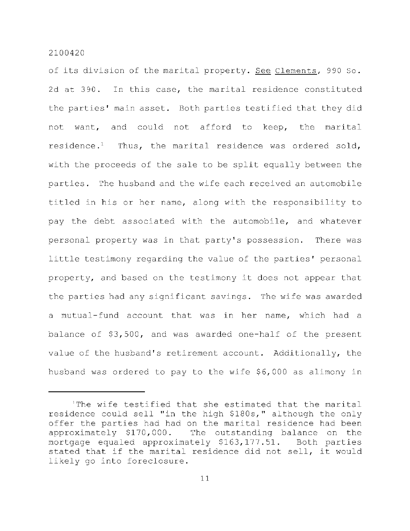of its division of the marital property. See Clements, 990 So. 2d at 390. In this case, the marital residence constituted the parties' main asset. Both parties testified that they did not want, and could not afford to keep, the marital residence.<sup>1</sup> Thus, the marital residence was ordered sold, with the proceeds of the sale to be split equally between the parties. The husband and the wife each received an automobile titled in his or her name, along with the responsibility to pay the debt associated with the automobile, and whatever personal property was in that party's possession. There was little testimony regarding the value of the parties' personal property, and based on the testimony it does not appear that the parties had any significant savings. The wife was awarded a mutual-fund account that was in her name, which had a balance of  $$3,500$ , and was awarded one-half of the present value of the husband's retirement account. Additionally, the husband was ordered to pay to the wife \$6,000 as alimony in

The wife testified that she estimated that the marital residence could sell "in the high \$180s," although the only offer the parties had had on the marital residence had been approximately  $$170,000$ . The outstanding balance on the mortgage equaled approximately \$163,177.51. Both parties stated that if the marital residence did not sell, it would likely go into foreclosure.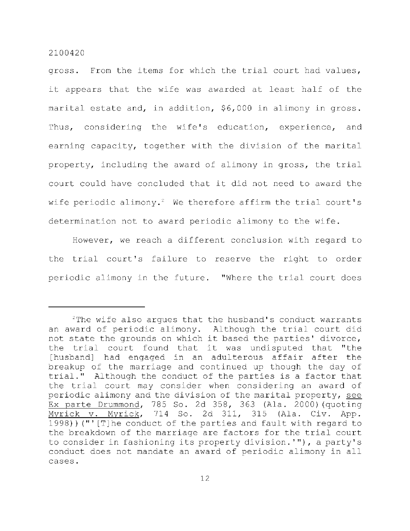gross. From the items for which the trial court had values, it appears that the wife was awarded at least half of the marital estate and, in addition, \$6,000 in alimony in gross. Thus, considering the wife's education, experience, and earning capacity, together with the division of the marital property, including the award of alimony in gross, the trial court could have concluded that it did not need to award the wife periodic alimony.<sup>2</sup> We therefore affirm the trial court's determination not to award periodic alimony to the wife.

However, we reach a different conclusion with regard to the trial court's failure to reserve the right to order periodic alimony in the future. "Where the trial court does

 $2$ The wife also argues that the husband's conduct warrants an award of periodic alimony. Although the trial court did not state the grounds on which it based the parties' divorce, the trial court found that it was undisputed that "the [husband] had engaged in an adulterous affair after the breakup of the marriage and continued up though the day of trial." Although the conduct of the parties is a factor that the trial court may consider when considering an award of periodic alimony and the division of the marital property, see Ex parte Drummond, 785 So. 2d 358, 363 (Ala. 2000) (quoting Myrick v. Myrick, 714 So. 2d 311, 315 (Ala. Civ. App. 1998)) ("' [T]he conduct of the parties and fault with regard to the breakdown of the marriage are factors for the trial court to consider in fashioning its property division.'"), a party's conduct does not mandate an award of periodic alimony in all cases .